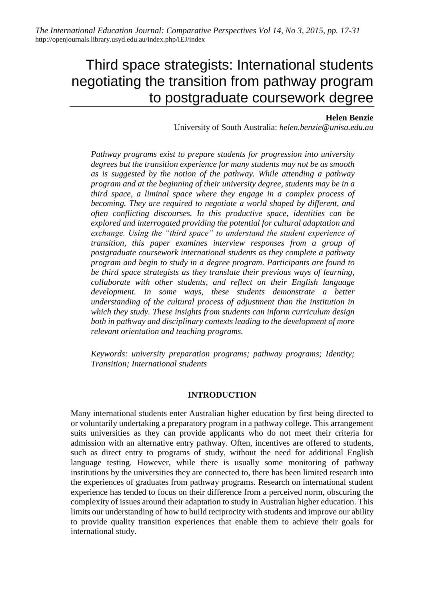# Third space strategists: International students negotiating the transition from pathway program to postgraduate coursework degree

#### **Helen Benzie**

University of South Australia: *helen.benzie@unisa.edu.au*

*Pathway programs exist to prepare students for progression into university degrees but the transition experience for many students may not be as smooth as is suggested by the notion of the pathway. While attending a pathway program and at the beginning of their university degree, students may be in a third space, a liminal space where they engage in a complex process of becoming. They are required to negotiate a world shaped by different, and often conflicting discourses. In this productive space, identities can be explored and interrogated providing the potential for cultural adaptation and exchange. Using the "third space" to understand the student experience of transition, this paper examines interview responses from a group of postgraduate coursework international students as they complete a pathway program and begin to study in a degree program. Participants are found to be third space strategists as they translate their previous ways of learning, collaborate with other students, and reflect on their English language development. In some ways, these students demonstrate a better understanding of the cultural process of adjustment than the institution in which they study. These insights from students can inform curriculum design both in pathway and disciplinary contexts leading to the development of more relevant orientation and teaching programs.*

*Keywords: university preparation programs; pathway programs; Identity; Transition; International students*

#### **INTRODUCTION**

Many international students enter Australian higher education by first being directed to or voluntarily undertaking a preparatory program in a pathway college. This arrangement suits universities as they can provide applicants who do not meet their criteria for admission with an alternative entry pathway. Often, incentives are offered to students, such as direct entry to programs of study, without the need for additional English language testing. However, while there is usually some monitoring of pathway institutions by the universities they are connected to, there has been limited research into the experiences of graduates from pathway programs. Research on international student experience has tended to focus on their difference from a perceived norm, obscuring the complexity of issues around their adaptation to study in Australian higher education. This limits our understanding of how to build reciprocity with students and improve our ability to provide quality transition experiences that enable them to achieve their goals for international study.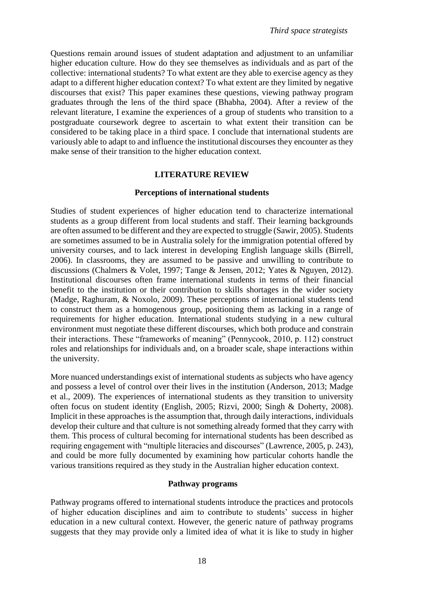Questions remain around issues of student adaptation and adjustment to an unfamiliar higher education culture. How do they see themselves as individuals and as part of the collective: international students? To what extent are they able to exercise agency as they adapt to a different higher education context? To what extent are they limited by negative discourses that exist? This paper examines these questions, viewing pathway program graduates through the lens of the third space (Bhabha, 2004). After a review of the relevant literature, I examine the experiences of a group of students who transition to a postgraduate coursework degree to ascertain to what extent their transition can be considered to be taking place in a third space. I conclude that international students are variously able to adapt to and influence the institutional discourses they encounter as they make sense of their transition to the higher education context.

### **LITERATURE REVIEW**

#### **Perceptions of international students**

Studies of student experiences of higher education tend to characterize international students as a group different from local students and staff. Their learning backgrounds are often assumed to be different and they are expected to struggle (Sawir, 2005). Students are sometimes assumed to be in Australia solely for the immigration potential offered by university courses, and to lack interest in developing English language skills (Birrell, 2006). In classrooms, they are assumed to be passive and unwilling to contribute to discussions (Chalmers & Volet, 1997; Tange & Jensen, 2012; Yates & Nguyen, 2012). Institutional discourses often frame international students in terms of their financial benefit to the institution or their contribution to skills shortages in the wider society (Madge, Raghuram, & Noxolo, 2009). These perceptions of international students tend to construct them as a homogenous group, positioning them as lacking in a range of requirements for higher education. International students studying in a new cultural environment must negotiate these different discourses, which both produce and constrain their interactions. These "frameworks of meaning" (Pennycook, 2010, p. 112) construct roles and relationships for individuals and, on a broader scale, shape interactions within the university.

More nuanced understandings exist of international students as subjects who have agency and possess a level of control over their lives in the institution (Anderson, 2013; Madge et al., 2009). The experiences of international students as they transition to university often focus on student identity (English, 2005; Rizvi, 2000; Singh & Doherty, 2008). Implicit in these approaches is the assumption that, through daily interactions, individuals develop their culture and that culture is not something already formed that they carry with them. This process of cultural becoming for international students has been described as requiring engagement with "multiple literacies and discourses" (Lawrence, 2005, p. 243), and could be more fully documented by examining how particular cohorts handle the various transitions required as they study in the Australian higher education context.

#### **Pathway programs**

Pathway programs offered to international students introduce the practices and protocols of higher education disciplines and aim to contribute to students' success in higher education in a new cultural context. However, the generic nature of pathway programs suggests that they may provide only a limited idea of what it is like to study in higher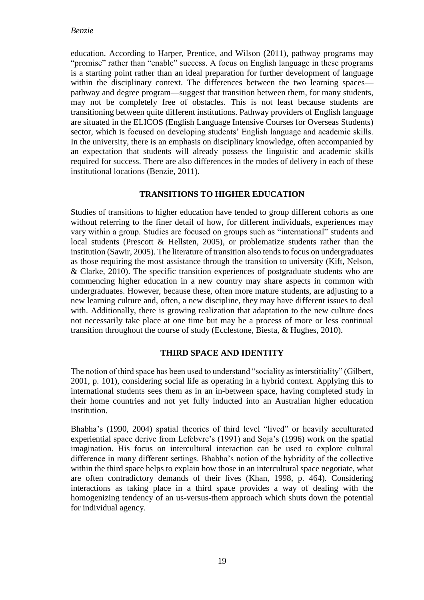education. According to Harper, Prentice, and Wilson (2011), pathway programs may "promise" rather than "enable" success. A focus on English language in these programs is a starting point rather than an ideal preparation for further development of language within the disciplinary context. The differences between the two learning spaces pathway and degree program––suggest that transition between them, for many students, may not be completely free of obstacles. This is not least because students are transitioning between quite different institutions. Pathway providers of English language are situated in the ELICOS (English Language Intensive Courses for Overseas Students) sector, which is focused on developing students' English language and academic skills. In the university, there is an emphasis on disciplinary knowledge, often accompanied by an expectation that students will already possess the linguistic and academic skills required for success. There are also differences in the modes of delivery in each of these institutional locations (Benzie, 2011).

## **TRANSITIONS TO HIGHER EDUCATION**

Studies of transitions to higher education have tended to group different cohorts as one without referring to the finer detail of how, for different individuals, experiences may vary within a group. Studies are focused on groups such as "international" students and local students (Prescott & Hellsten, 2005), or problematize students rather than the institution (Sawir, 2005). The literature of transition also tends to focus on undergraduates as those requiring the most assistance through the transition to university (Kift, Nelson, & Clarke, 2010). The specific transition experiences of postgraduate students who are commencing higher education in a new country may share aspects in common with undergraduates. However, because these, often more mature students, are adjusting to a new learning culture and, often, a new discipline, they may have different issues to deal with. Additionally, there is growing realization that adaptation to the new culture does not necessarily take place at one time but may be a process of more or less continual transition throughout the course of study (Ecclestone, Biesta, & Hughes, 2010).

## **THIRD SPACE AND IDENTITY**

The notion of third space has been used to understand "sociality as interstitiality" (Gilbert, 2001, p. 101), considering social life as operating in a hybrid context. Applying this to international students sees them as in an in-between space, having completed study in their home countries and not yet fully inducted into an Australian higher education institution.

Bhabha's (1990, 2004) spatial theories of third level "lived" or heavily acculturated experiential space derive from Lefebvre's (1991) and Soja's (1996) work on the spatial imagination. His focus on intercultural interaction can be used to explore cultural difference in many different settings. Bhabha's notion of the hybridity of the collective within the third space helps to explain how those in an intercultural space negotiate, what are often contradictory demands of their lives (Khan, 1998, p. 464). Considering interactions as taking place in a third space provides a way of dealing with the homogenizing tendency of an us-versus-them approach which shuts down the potential for individual agency.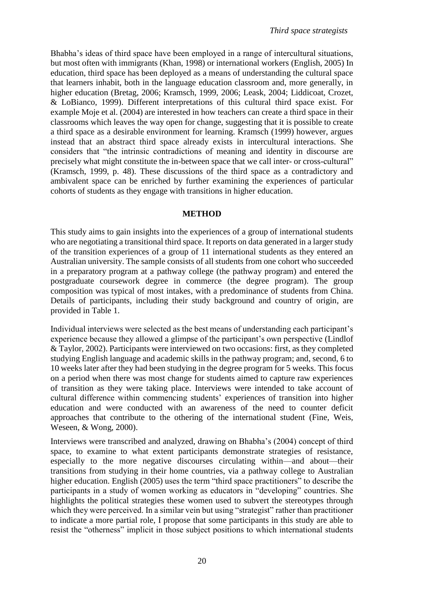Bhabha's ideas of third space have been employed in a range of intercultural situations, but most often with immigrants (Khan, 1998) or international workers (English, 2005) In education, third space has been deployed as a means of understanding the cultural space that learners inhabit, both in the language education classroom and, more generally, in higher education (Bretag, 2006; Kramsch, 1999, 2006; Leask, 2004; Liddicoat, Crozet, & LoBianco, 1999). Different interpretations of this cultural third space exist. For example Moje et al. (2004) are interested in how teachers can create a third space in their classrooms which leaves the way open for change, suggesting that it is possible to create a third space as a desirable environment for learning. Kramsch (1999) however, argues instead that an abstract third space already exists in intercultural interactions. She considers that "the intrinsic contradictions of meaning and identity in discourse are precisely what might constitute the in-between space that we call inter- or cross-cultural" (Kramsch, 1999, p. 48). These discussions of the third space as a contradictory and ambivalent space can be enriched by further examining the experiences of particular cohorts of students as they engage with transitions in higher education.

#### **METHOD**

This study aims to gain insights into the experiences of a group of international students who are negotiating a transitional third space. It reports on data generated in a larger study of the transition experiences of a group of 11 international students as they entered an Australian university. The sample consists of all students from one cohort who succeeded in a preparatory program at a pathway college (the pathway program) and entered the postgraduate coursework degree in commerce (the degree program). The group composition was typical of most intakes, with a predominance of students from China. Details of participants, including their study background and country of origin, are provided in Table 1.

Individual interviews were selected as the best means of understanding each participant's experience because they allowed a glimpse of the participant's own perspective (Lindlof & Taylor, 2002). Participants were interviewed on two occasions: first, as they completed studying English language and academic skills in the pathway program; and, second, 6 to 10 weeks later after they had been studying in the degree program for 5 weeks. This focus on a period when there was most change for students aimed to capture raw experiences of transition as they were taking place. Interviews were intended to take account of cultural difference within commencing students' experiences of transition into higher education and were conducted with an awareness of the need to counter deficit approaches that contribute to the othering of the international student (Fine, Weis, Weseen, & Wong, 2000).

Interviews were transcribed and analyzed, drawing on Bhabha's (2004) concept of third space, to examine to what extent participants demonstrate strategies of resistance, especially to the more negative discourses circulating within—and about—their transitions from studying in their home countries, via a pathway college to Australian higher education. English (2005) uses the term "third space practitioners" to describe the participants in a study of women working as educators in "developing" countries. She highlights the political strategies these women used to subvert the stereotypes through which they were perceived. In a similar vein but using "strategist" rather than practitioner to indicate a more partial role, I propose that some participants in this study are able to resist the "otherness" implicit in those subject positions to which international students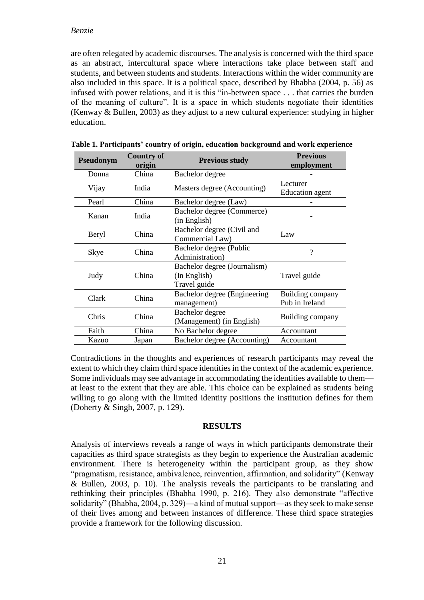#### *Benzie*

are often relegated by academic discourses. The analysis is concerned with the third space as an abstract, intercultural space where interactions take place between staff and students, and between students and students. Interactions within the wider community are also included in this space. It is a political space, described by Bhabha (2004, p. 56) as infused with power relations, and it is this "in-between space . . . that carries the burden of the meaning of culture". It is a space in which students negotiate their identities (Kenway & Bullen, 2003) as they adjust to a new cultural experience: studying in higher education.

| Pseudonym | <b>Country of</b><br>origin | <b>Previous study</b>                                        | <b>Previous</b><br>employment      |
|-----------|-----------------------------|--------------------------------------------------------------|------------------------------------|
| Donna     | China                       | Bachelor degree                                              |                                    |
| Vijay     | India                       | Masters degree (Accounting)                                  | Lecturer<br><b>Education</b> agent |
| Pearl     | China                       | Bachelor degree (Law)                                        |                                    |
| Kanan     | India                       | Bachelor degree (Commerce)<br>(in English)                   |                                    |
| Beryl     | China                       | Bachelor degree (Civil and<br>Commercial Law)                | Law                                |
| Skye      | China                       | Bachelor degree (Public<br>Administration)                   | ?                                  |
| Judy      | China                       | Bachelor degree (Journalism)<br>(In English)<br>Travel guide | Travel guide                       |
| Clark     | China                       | Bachelor degree (Engineering)<br>management)                 | Building company<br>Pub in Ireland |
| Chris     | China                       | Bachelor degree<br>(Management) (in English)                 | Building company                   |
| Faith     | China                       | No Bachelor degree                                           | Accountant                         |
| Kazuo     | Japan                       | Bachelor degree (Accounting)                                 | Accountant                         |

|  | Table 1. Participants' country of origin, education background and work experience |  |
|--|------------------------------------------------------------------------------------|--|
|  |                                                                                    |  |

Contradictions in the thoughts and experiences of research participants may reveal the extent to which they claim third space identities in the context of the academic experience. Some individuals may see advantage in accommodating the identities available to them at least to the extent that they are able. This choice can be explained as students being willing to go along with the limited identity positions the institution defines for them (Doherty & Singh, 2007, p. 129).

#### **RESULTS**

Analysis of interviews reveals a range of ways in which participants demonstrate their capacities as third space strategists as they begin to experience the Australian academic environment. There is heterogeneity within the participant group, as they show "pragmatism, resistance, ambivalence, reinvention, affirmation, and solidarity" (Kenway & Bullen, 2003, p. 10). The analysis reveals the participants to be translating and rethinking their principles (Bhabha 1990, p. 216). They also demonstrate "affective solidarity" (Bhabha, 2004, p. 329)––a kind of mutual support––as they seek to make sense of their lives among and between instances of difference. These third space strategies provide a framework for the following discussion.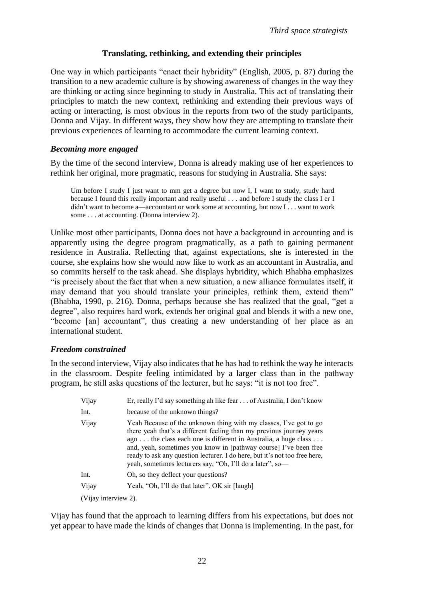# **Translating, rethinking, and extending their principles**

One way in which participants "enact their hybridity" (English, 2005, p. 87) during the transition to a new academic culture is by showing awareness of changes in the way they are thinking or acting since beginning to study in Australia. This act of translating their principles to match the new context, rethinking and extending their previous ways of acting or interacting, is most obvious in the reports from two of the study participants, Donna and Vijay. In different ways, they show how they are attempting to translate their previous experiences of learning to accommodate the current learning context.

## *Becoming more engaged*

By the time of the second interview, Donna is already making use of her experiences to rethink her original, more pragmatic, reasons for studying in Australia. She says:

Um before I study I just want to mm get a degree but now I, I want to study, study hard because I found this really important and really useful . . . and before I study the class I er I didn't want to become a—accountant or work some at accounting, but now I . . . want to work some . . . at accounting. (Donna interview 2).

Unlike most other participants, Donna does not have a background in accounting and is apparently using the degree program pragmatically, as a path to gaining permanent residence in Australia. Reflecting that, against expectations, she is interested in the course, she explains how she would now like to work as an accountant in Australia, and so commits herself to the task ahead. She displays hybridity, which Bhabha emphasizes "is precisely about the fact that when a new situation, a new alliance formulates itself, it may demand that you should translate your principles, rethink them, extend them" (Bhabha, 1990, p. 216). Donna, perhaps because she has realized that the goal, "get a degree", also requires hard work, extends her original goal and blends it with a new one, "become [an] accountant", thus creating a new understanding of her place as an international student.

## *Freedom constrained*

In the second interview, Vijay also indicates that he has had to rethink the way he interacts in the classroom. Despite feeling intimidated by a larger class than in the pathway program, he still asks questions of the lecturer, but he says: "it is not too free".

| Vijay                | Er, really I'd say something ah like fear  of Australia, I don't know                                                                                                                                                                                                                                                                                                                                                      |  |
|----------------------|----------------------------------------------------------------------------------------------------------------------------------------------------------------------------------------------------------------------------------------------------------------------------------------------------------------------------------------------------------------------------------------------------------------------------|--|
| Int.                 | because of the unknown things?                                                                                                                                                                                                                                                                                                                                                                                             |  |
| Vijay                | Yeah Because of the unknown thing with my classes, I've got to go<br>there yeah that's a different feeling than my previous journey years<br>ago the class each one is different in Australia, a huge class<br>and, yeah, sometimes you know in [pathway course] I've been free<br>ready to ask any question lecturer. I do here, but it's not too free here,<br>yeah, sometimes lecturers say, "Oh, I'll do a later", so- |  |
| Int.                 | Oh, so they deflect your questions?                                                                                                                                                                                                                                                                                                                                                                                        |  |
| Vijay                | Yeah, "Oh, I'll do that later". OK sir [laugh]                                                                                                                                                                                                                                                                                                                                                                             |  |
| (Vijay interview 2). |                                                                                                                                                                                                                                                                                                                                                                                                                            |  |

Vijay has found that the approach to learning differs from his expectations, but does not yet appear to have made the kinds of changes that Donna is implementing. In the past, for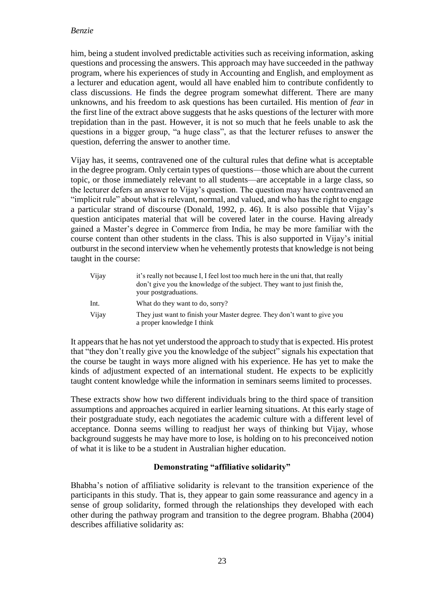### *Benzie*

him, being a student involved predictable activities such as receiving information, asking questions and processing the answers. This approach may have succeeded in the pathway program, where his experiences of study in Accounting and English, and employment as a lecturer and education agent, would all have enabled him to contribute confidently to class discussions. He finds the degree program somewhat different. There are many unknowns, and his freedom to ask questions has been curtailed. His mention of *fear* in the first line of the extract above suggests that he asks questions of the lecturer with more trepidation than in the past. However, it is not so much that he feels unable to ask the questions in a bigger group, "a huge class", as that the lecturer refuses to answer the question, deferring the answer to another time.

Vijay has, it seems, contravened one of the cultural rules that define what is acceptable in the degree program. Only certain types of questions—those which are about the current topic, or those immediately relevant to all students—are acceptable in a large class, so the lecturer defers an answer to Vijay's question. The question may have contravened an "implicit rule" about what is relevant, normal, and valued, and who has the right to engage a particular strand of discourse (Donald, 1992, p. 46). It is also possible that Vijay's question anticipates material that will be covered later in the course. Having already gained a Master's degree in Commerce from India, he may be more familiar with the course content than other students in the class. This is also supported in Vijay's initial outburst in the second interview when he vehemently protests that knowledge is not being taught in the course:

| Vijay | it's really not because I, I feel lost too much here in the uni that, that really<br>don't give you the knowledge of the subject. They want to just finish the,<br>your postgraduations. |
|-------|------------------------------------------------------------------------------------------------------------------------------------------------------------------------------------------|
| Int.  | What do they want to do, sorry?                                                                                                                                                          |
| Vijay | They just want to finish your Master degree. They don't want to give you<br>a proper knowledge I think                                                                                   |

It appears that he has not yet understood the approach to study that is expected. His protest that "they don't really give you the knowledge of the subject" signals his expectation that the course be taught in ways more aligned with his experience. He has yet to make the kinds of adjustment expected of an international student. He expects to be explicitly taught content knowledge while the information in seminars seems limited to processes.

These extracts show how two different individuals bring to the third space of transition assumptions and approaches acquired in earlier learning situations. At this early stage of their postgraduate study, each negotiates the academic culture with a different level of acceptance. Donna seems willing to readjust her ways of thinking but Vijay, whose background suggests he may have more to lose, is holding on to his preconceived notion of what it is like to be a student in Australian higher education.

## **Demonstrating "affiliative solidarity"**

Bhabha's notion of affiliative solidarity is relevant to the transition experience of the participants in this study. That is, they appear to gain some reassurance and agency in a sense of group solidarity, formed through the relationships they developed with each other during the pathway program and transition to the degree program. Bhabha (2004) describes affiliative solidarity as: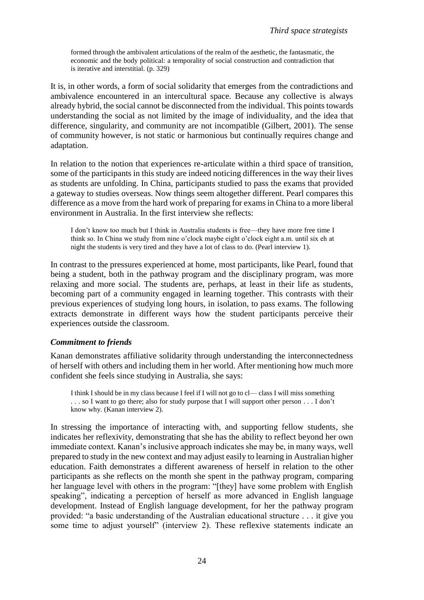formed through the ambivalent articulations of the realm of the aesthetic, the fantasmatic, the economic and the body political: a temporality of social construction and contradiction that is iterative and interstitial. (p. 329)

It is, in other words, a form of social solidarity that emerges from the contradictions and ambivalence encountered in an intercultural space. Because any collective is always already hybrid, the social cannot be disconnected from the individual. This points towards understanding the social as not limited by the image of individuality, and the idea that difference, singularity, and community are not incompatible (Gilbert, 2001). The sense of community however, is not static or harmonious but continually requires change and adaptation.

In relation to the notion that experiences re-articulate within a third space of transition, some of the participants in this study are indeed noticing differences in the way their lives as students are unfolding. In China, participants studied to pass the exams that provided a gateway to studies overseas. Now things seem altogether different. Pearl compares this difference as a move from the hard work of preparing for exams in China to a more liberal environment in Australia. In the first interview she reflects:

I don't know too much but I think in Australia students is free—they have more free time I think so. In China we study from nine o'clock maybe eight o'clock eight a.m. until six eh at night the students is very tired and they have a lot of class to do. (Pearl interview 1).

In contrast to the pressures experienced at home, most participants, like Pearl, found that being a student, both in the pathway program and the disciplinary program, was more relaxing and more social. The students are, perhaps, at least in their life as students, becoming part of a community engaged in learning together. This contrasts with their previous experiences of studying long hours, in isolation, to pass exams. The following extracts demonstrate in different ways how the student participants perceive their experiences outside the classroom.

#### *Commitment to friends*

Kanan demonstrates affiliative solidarity through understanding the interconnectedness of herself with others and including them in her world. After mentioning how much more confident she feels since studying in Australia, she says:

I think I should be in my class because I feel if I will not go to cl— class I will miss something . . . so I want to go there; also for study purpose that I will support other person . . . I don't know why. (Kanan interview 2).

In stressing the importance of interacting with, and supporting fellow students, she indicates her reflexivity, demonstrating that she has the ability to reflect beyond her own immediate context. Kanan's inclusive approach indicates she may be, in many ways, well prepared to study in the new context and may adjust easily to learning in Australian higher education. Faith demonstrates a different awareness of herself in relation to the other participants as she reflects on the month she spent in the pathway program, comparing her language level with others in the program: "[they] have some problem with English speaking", indicating a perception of herself as more advanced in English language development. Instead of English language development, for her the pathway program provided: "a basic understanding of the Australian educational structure . . . it give you some time to adjust yourself" (interview 2). These reflexive statements indicate an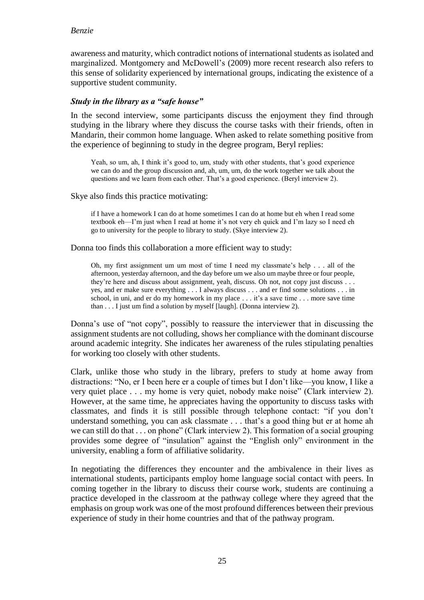## *Benzie*

awareness and maturity, which contradict notions of international students as isolated and marginalized. Montgomery and McDowell's (2009) more recent research also refers to this sense of solidarity experienced by international groups, indicating the existence of a supportive student community.

### *Study in the library as a "safe house"*

In the second interview, some participants discuss the enjoyment they find through studying in the library where they discuss the course tasks with their friends, often in Mandarin, their common home language. When asked to relate something positive from the experience of beginning to study in the degree program, Beryl replies:

Yeah, so um, ah, I think it's good to, um, study with other students, that's good experience we can do and the group discussion and, ah, um, um, do the work together we talk about the questions and we learn from each other. That's a good experience. (Beryl interview 2).

Skye also finds this practice motivating:

if I have a homework I can do at home sometimes I can do at home but eh when I read some textbook eh—I'm just when I read at home it's not very eh quick and I'm lazy so I need eh go to university for the people to library to study. (Skye interview 2).

Donna too finds this collaboration a more efficient way to study:

Oh, my first assignment um um most of time I need my classmate's help . . . all of the afternoon, yesterday afternoon, and the day before um we also um maybe three or four people, they're here and discuss about assignment, yeah, discuss. Oh not, not copy just discuss . . . yes, and er make sure everything . . . I always discuss . . . and er find some solutions . . . in school, in uni, and er do my homework in my place . . . it's a save time . . . more save time than . . . I just um find a solution by myself [laugh]. (Donna interview 2).

Donna's use of "not copy", possibly to reassure the interviewer that in discussing the assignment students are not colluding, shows her compliance with the dominant discourse around academic integrity. She indicates her awareness of the rules stipulating penalties for working too closely with other students.

Clark, unlike those who study in the library, prefers to study at home away from distractions: "No, er I been here er a couple of times but I don't like—you know, I like a very quiet place . . . my home is very quiet, nobody make noise" (Clark interview 2). However, at the same time, he appreciates having the opportunity to discuss tasks with classmates, and finds it is still possible through telephone contact: "if you don't understand something, you can ask classmate . . . that's a good thing but er at home ah we can still do that . . . on phone" (Clark interview 2). This formation of a social grouping provides some degree of "insulation" against the "English only" environment in the university, enabling a form of affiliative solidarity.

In negotiating the differences they encounter and the ambivalence in their lives as international students, participants employ home language social contact with peers. In coming together in the library to discuss their course work, students are continuing a practice developed in the classroom at the pathway college where they agreed that the emphasis on group work was one of the most profound differences between their previous experience of study in their home countries and that of the pathway program.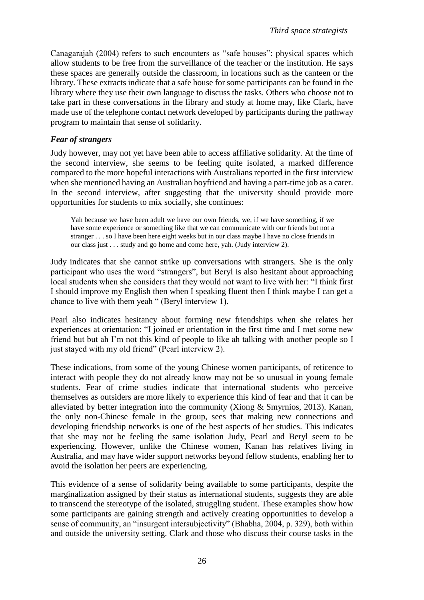Canagarajah (2004) refers to such encounters as "safe houses": physical spaces which allow students to be free from the surveillance of the teacher or the institution. He says these spaces are generally outside the classroom, in locations such as the canteen or the library. These extracts indicate that a safe house for some participants can be found in the library where they use their own language to discuss the tasks. Others who choose not to take part in these conversations in the library and study at home may, like Clark, have made use of the telephone contact network developed by participants during the pathway program to maintain that sense of solidarity.

### *Fear of strangers*

Judy however, may not yet have been able to access affiliative solidarity. At the time of the second interview, she seems to be feeling quite isolated, a marked difference compared to the more hopeful interactions with Australians reported in the first interview when she mentioned having an Australian boyfriend and having a part-time job as a carer. In the second interview, after suggesting that the university should provide more opportunities for students to mix socially, she continues:

Yah because we have been adult we have our own friends, we, if we have something, if we have some experience or something like that we can communicate with our friends but not a stranger . . . so I have been here eight weeks but in our class maybe I have no close friends in our class just . . . study and go home and come here, yah. (Judy interview 2).

Judy indicates that she cannot strike up conversations with strangers. She is the only participant who uses the word "strangers", but Beryl is also hesitant about approaching local students when she considers that they would not want to live with her: "I think first I should improve my English then when I speaking fluent then I think maybe I can get a chance to live with them yeah " (Beryl interview 1).

Pearl also indicates hesitancy about forming new friendships when she relates her experiences at orientation: "I joined er orientation in the first time and I met some new friend but but ah I'm not this kind of people to like ah talking with another people so I just stayed with my old friend" (Pearl interview 2).

These indications, from some of the young Chinese women participants, of reticence to interact with people they do not already know may not be so unusual in young female students. Fear of crime studies indicate that international students who perceive themselves as outsiders are more likely to experience this kind of fear and that it can be alleviated by better integration into the community (Xiong & Smyrnios, 2013). Kanan, the only non-Chinese female in the group, sees that making new connections and developing friendship networks is one of the best aspects of her studies. This indicates that she may not be feeling the same isolation Judy, Pearl and Beryl seem to be experiencing. However, unlike the Chinese women, Kanan has relatives living in Australia, and may have wider support networks beyond fellow students, enabling her to avoid the isolation her peers are experiencing.

This evidence of a sense of solidarity being available to some participants, despite the marginalization assigned by their status as international students, suggests they are able to transcend the stereotype of the isolated, struggling student. These examples show how some participants are gaining strength and actively creating opportunities to develop a sense of community, an "insurgent intersubjectivity" (Bhabha, 2004, p. 329), both within and outside the university setting. Clark and those who discuss their course tasks in the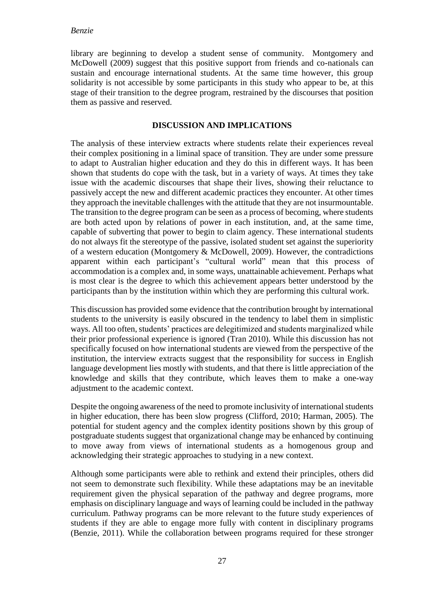library are beginning to develop a student sense of community. Montgomery and McDowell (2009) suggest that this positive support from friends and co-nationals can sustain and encourage international students. At the same time however, this group solidarity is not accessible by some participants in this study who appear to be, at this stage of their transition to the degree program, restrained by the discourses that position them as passive and reserved.

## **DISCUSSION AND IMPLICATIONS**

The analysis of these interview extracts where students relate their experiences reveal their complex positioning in a liminal space of transition. They are under some pressure to adapt to Australian higher education and they do this in different ways. It has been shown that students do cope with the task, but in a variety of ways. At times they take issue with the academic discourses that shape their lives, showing their reluctance to passively accept the new and different academic practices they encounter. At other times they approach the inevitable challenges with the attitude that they are not insurmountable. The transition to the degree program can be seen as a process of becoming, where students are both acted upon by relations of power in each institution, and, at the same time, capable of subverting that power to begin to claim agency. These international students do not always fit the stereotype of the passive, isolated student set against the superiority of a western education (Montgomery & McDowell, 2009). However, the contradictions apparent within each participant's "cultural world" mean that this process of accommodation is a complex and, in some ways, unattainable achievement. Perhaps what is most clear is the degree to which this achievement appears better understood by the participants than by the institution within which they are performing this cultural work.

This discussion has provided some evidence that the contribution brought by international students to the university is easily obscured in the tendency to label them in simplistic ways. All too often, students' practices are delegitimized and students marginalized while their prior professional experience is ignored (Tran 2010). While this discussion has not specifically focused on how international students are viewed from the perspective of the institution, the interview extracts suggest that the responsibility for success in English language development lies mostly with students, and that there is little appreciation of the knowledge and skills that they contribute, which leaves them to make a one-way adjustment to the academic context.

Despite the ongoing awareness of the need to promote inclusivity of international students in higher education, there has been slow progress (Clifford, 2010; Harman, 2005). The potential for student agency and the complex identity positions shown by this group of postgraduate students suggest that organizational change may be enhanced by continuing to move away from views of international students as a homogenous group and acknowledging their strategic approaches to studying in a new context.

Although some participants were able to rethink and extend their principles, others did not seem to demonstrate such flexibility. While these adaptations may be an inevitable requirement given the physical separation of the pathway and degree programs, more emphasis on disciplinary language and ways of learning could be included in the pathway curriculum. Pathway programs can be more relevant to the future study experiences of students if they are able to engage more fully with content in disciplinary programs (Benzie, 2011). While the collaboration between programs required for these stronger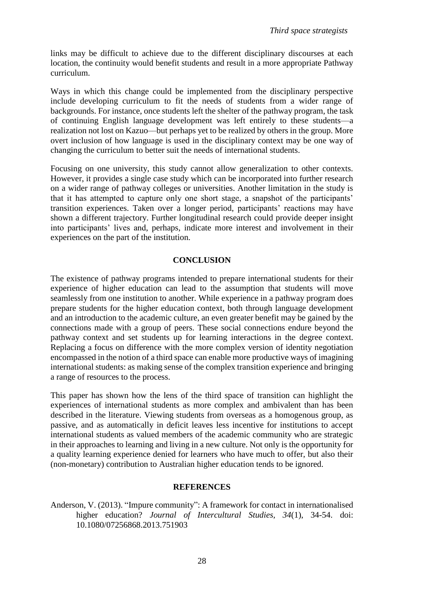links may be difficult to achieve due to the different disciplinary discourses at each location, the continuity would benefit students and result in a more appropriate Pathway curriculum.

Ways in which this change could be implemented from the disciplinary perspective include developing curriculum to fit the needs of students from a wider range of backgrounds. For instance, once students left the shelter of the pathway program, the task of continuing English language development was left entirely to these students––a realization not lost on Kazuo––but perhaps yet to be realized by others in the group. More overt inclusion of how language is used in the disciplinary context may be one way of changing the curriculum to better suit the needs of international students.

Focusing on one university, this study cannot allow generalization to other contexts. However, it provides a single case study which can be incorporated into further research on a wider range of pathway colleges or universities. Another limitation in the study is that it has attempted to capture only one short stage, a snapshot of the participants' transition experiences. Taken over a longer period, participants' reactions may have shown a different trajectory. Further longitudinal research could provide deeper insight into participants' lives and, perhaps, indicate more interest and involvement in their experiences on the part of the institution.

### **CONCLUSION**

The existence of pathway programs intended to prepare international students for their experience of higher education can lead to the assumption that students will move seamlessly from one institution to another. While experience in a pathway program does prepare students for the higher education context, both through language development and an introduction to the academic culture, an even greater benefit may be gained by the connections made with a group of peers. These social connections endure beyond the pathway context and set students up for learning interactions in the degree context. Replacing a focus on difference with the more complex version of identity negotiation encompassed in the notion of a third space can enable more productive ways of imagining international students: as making sense of the complex transition experience and bringing a range of resources to the process.

This paper has shown how the lens of the third space of transition can highlight the experiences of international students as more complex and ambivalent than has been described in the literature. Viewing students from overseas as a homogenous group, as passive, and as automatically in deficit leaves less incentive for institutions to accept international students as valued members of the academic community who are strategic in their approaches to learning and living in a new culture. Not only is the opportunity for a quality learning experience denied for learners who have much to offer, but also their (non-monetary) contribution to Australian higher education tends to be ignored.

#### **REFERENCES**

Anderson, V. (2013). "Impure community": A framework for contact in internationalised higher education? *Journal of Intercultural Studies, 34*(1), 34-54. doi: 10.1080/07256868.2013.751903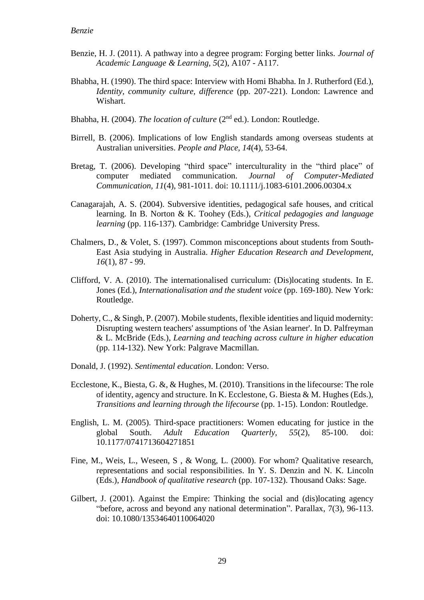- Benzie, H. J. (2011). A pathway into a degree program: Forging better links. *Journal of Academic Language & Learning, 5*(2), A107 - A117.
- Bhabha, H. (1990). The third space: Interview with Homi Bhabha. In J. Rutherford (Ed.), *Identity, community culture, difference* (pp. 207-221). London: Lawrence and Wishart.
- Bhabha, H. (2004). *The location of culture* (2nd ed.). London: Routledge.
- Birrell, B. (2006). Implications of low English standards among overseas students at Australian universities. *People and Place, 14*(4), 53-64.
- Bretag, T. (2006). Developing "third space" interculturality in the "third place" of computer mediated communication. *Journal of Computer-Mediated Communication, 11*(4), 981-1011. doi: 10.1111/j.1083-6101.2006.00304.x
- Canagarajah, A. S. (2004). Subversive identities, pedagogical safe houses, and critical learning. In B. Norton & K. Toohey (Eds.), *Critical pedagogies and language learning* (pp. 116-137). Cambridge: Cambridge University Press.
- Chalmers, D., & Volet, S. (1997). Common misconceptions about students from South-East Asia studying in Australia. *Higher Education Research and Development, 16*(1), 87 - 99.
- Clifford, V. A. (2010). The internationalised curriculum: (Dis)locating students. In E. Jones (Ed.), *Internationalisation and the student voice* (pp. 169-180). New York: Routledge.
- Doherty, C., & Singh, P. (2007). Mobile students, flexible identities and liquid modernity: Disrupting western teachers' assumptions of 'the Asian learner'. In D. Palfreyman & L. McBride (Eds.), *Learning and teaching across culture in higher education* (pp. 114-132). New York: Palgrave Macmillan.
- Donald, J. (1992). *Sentimental education*. London: Verso.
- Ecclestone, K., Biesta, G. &, & Hughes, M. (2010). Transitions in the lifecourse: The role of identity, agency and structure. In K. Ecclestone, G. Biesta & M. Hughes (Eds.), *Transitions and learning through the lifecourse* (pp. 1-15). London: Routledge.
- English, L. M. (2005). Third-space practitioners: Women educating for justice in the global South. *Adult Education Quarterly, 55*(2), 85-100. doi: 10.1177/0741713604271851
- Fine, M., Weis, L., Weseen, S , & Wong, L. (2000). For whom? Qualitative research, representations and social responsibilities. In Y. S. Denzin and N. K. Lincoln (Eds.), *Handbook of qualitative research* (pp. 107-132). Thousand Oaks: Sage.
- Gilbert, J. (2001). Against the Empire: Thinking the social and (dis)locating agency "before, across and beyond any national determination". Parallax, 7(3), 96-113. doi: 10.1080/13534640110064020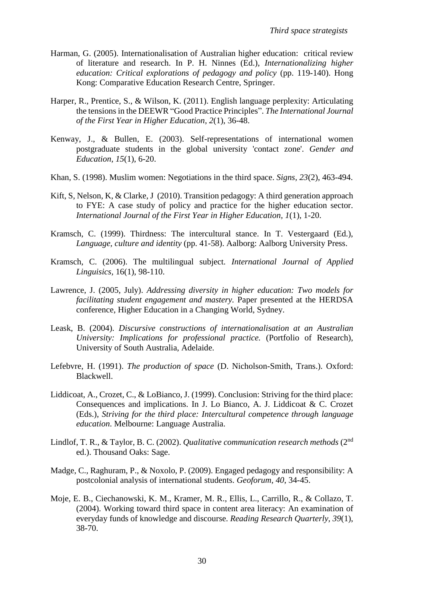- Harman, G. (2005). Internationalisation of Australian higher education: critical review of literature and research. In P. H. Ninnes (Ed.), *Internationalizing higher education: Critical explorations of pedagogy and policy* (pp. 119-140). Hong Kong: Comparative Education Research Centre, Springer.
- Harper, R., Prentice, S., & Wilson, K. (2011). English language perplexity: Articulating the tensions in the DEEWR "Good Practice Principles". *The International Journal of the First Year in Higher Education*, *2*(1), 36-48.
- Kenway, J., & Bullen, E. (2003). Self-representations of international women postgraduate students in the global university 'contact zone'. *Gender and Education, 15*(1), 6-20.
- Khan, S. (1998). Muslim women: Negotiations in the third space. *Signs, 23*(2), 463-494.
- Kift, S, Nelson, K, & Clarke, J (2010). Transition pedagogy: A third generation approach to FYE: A case study of policy and practice for the higher education sector. *International Journal of the First Year in Higher Education, 1*(1), 1-20.
- Kramsch, C. (1999). Thirdness: The intercultural stance. In T. Vestergaard (Ed.), *Language, culture and identity* (pp. 41-58). Aalborg: Aalborg University Press.
- Kramsch, C. (2006). The multilingual subject. *International Journal of Applied Linguisics,* 16(1), 98-110.
- Lawrence, J. (2005, July). *Addressing diversity in higher education: Two models for facilitating student engagement and mastery.* Paper presented at the HERDSA conference, Higher Education in a Changing World, Sydney.
- Leask, B. (2004). *Discursive constructions of internationalisation at an Australian University: Implications for professional practice.* (Portfolio of Research), University of South Australia, Adelaide.
- Lefebvre, H. (1991). *The production of space* (D. Nicholson-Smith, Trans.). Oxford: Blackwell.
- Liddicoat, A., Crozet, C., & LoBianco, J. (1999). Conclusion: Striving for the third place: Consequences and implications. In J. Lo Bianco, A. J. Liddicoat & C. Crozet (Eds.), *Striving for the third place: Intercultural competence through language education*. Melbourne: Language Australia.
- Lindlof, T. R., & Taylor, B. C. (2002). *Qualitative communication research methods* (2nd ed.). Thousand Oaks: Sage.
- Madge, C., Raghuram, P., & Noxolo, P. (2009). Engaged pedagogy and responsibility: A postcolonial analysis of international students. *Geoforum, 40*, 34-45.
- Moje, E. B., Ciechanowski, K. M., Kramer, M. R., Ellis, L., Carrillo, R., & Collazo, T. (2004). Working toward third space in content area literacy: An examination of everyday funds of knowledge and discourse. *Reading Research Quarterly, 39*(1), 38-70.